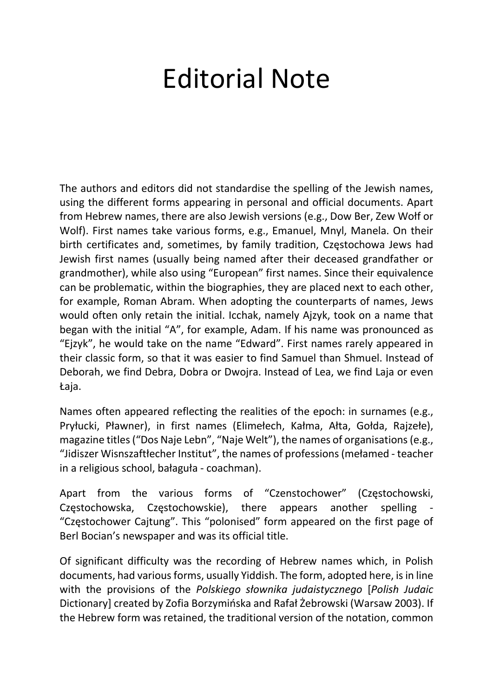## Editorial Note

The authors and editors did not standardise the spelling of the Jewish names, using the different forms appearing in personal and official documents. Apart from Hebrew names, there are also Jewish versions (e.g., Dow Ber, Zew Wołf or Wolf). First names take various forms, e.g., Emanuel, Mnyl, Manela. On their birth certificates and, sometimes, by family tradition, Częstochowa Jews had Jewish first names (usually being named after their deceased grandfather or grandmother), while also using "European" first names. Since their equivalence can be problematic, within the biographies, they are placed next to each other, for example, Roman Abram. When adopting the counterparts of names, Jews would often only retain the initial. Icchak, namely Ajzyk, took on a name that began with the initial "A", for example, Adam. If his name was pronounced as "Ejzyk", he would take on the name "Edward". First names rarely appeared in their classic form, so that it was easier to find Samuel than Shmuel. Instead of Deborah, we find Debra, Dobra or Dwojra. Instead of Lea, we find Laja or even Łaja.

Names often appeared reflecting the realities of the epoch: in surnames (e.g., Pryłucki, Pławner), in first names (Elimełech, Kałma, Ałta, Gołda, Rajzełe), magazine titles ("Dos Naje Lebn", "Naje Welt"), the names of organisations (e.g., "Jidiszer Wisnszaftłecher Institut", the names of professions (mełamed - teacher in a religious school, bałaguła - coachman).

Apart from the various forms of "Czenstochower" (Częstochowski, Częstochowska, Częstochowskie), there appears another spelling - "Częstochower Cajtung". This "polonised" form appeared on the first page of Berl Bocian's newspaper and was its official title.

Of significant difficulty was the recording of Hebrew names which, in Polish documents, had various forms, usually Yiddish. The form, adopted here, is in line with the provisions of the Polskiego słownika judaistycznego [Polish Judaic Dictionary] created by Zofia Borzymińska and Rafał Żebrowski (Warsaw 2003). If the Hebrew form was retained, the traditional version of the notation, common